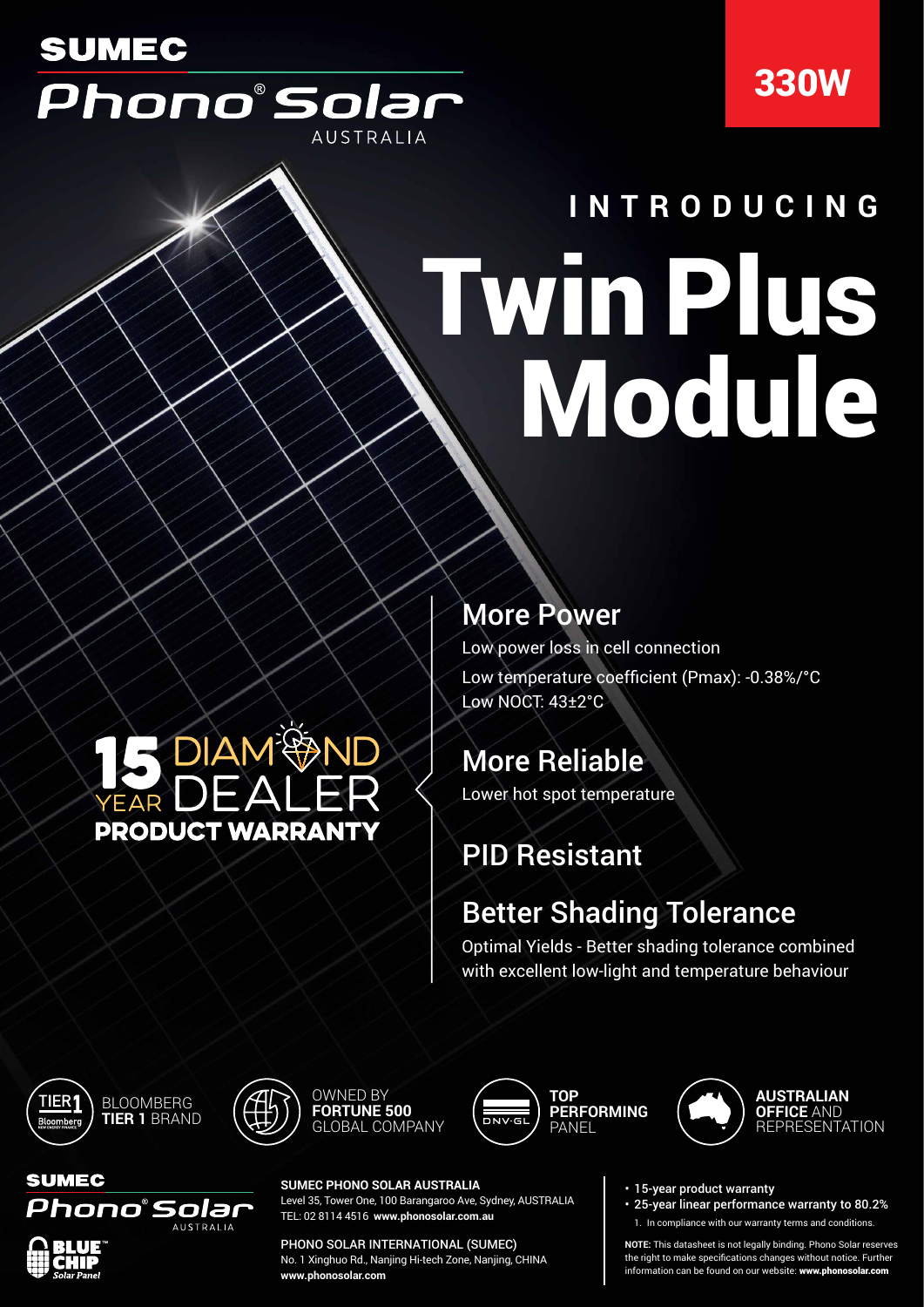## **SUMEC** Phono®Solar **AUSTRALIA**

## 330W

# Twin Plus Module **INTRODUCING**

## **S** DIAM<sup>@</sup>ND **PRODUCT WARRANT**

#### More Power

Low power loss in cell connection Low temperature coefficient (Pmax): -0.38%/°C Low NOCT: 43±2°C

### More Reliable

Lower hot spot temperature

## PID Resistant

### Better Shading Tolerance

Optimal Yields - Better shading tolerance combined with excellent low-light and temperature behaviour





OWNED BY **FORTUNE 500** GLOBAL COMPANY





**SUMEC** Phono°Solar AUSTRALIA

**SUMEC PHONO SOLAR AUSTRALIA** Level 35, Tower One, 100 Barangaroo Ave, Sydney, AUSTRALIA TEL: 02 8114 4516 **www.phonosolar.com.au**

PHONO SOLAR INTERNATIONAL (SUMEC) No. 1 Xinghuo Rd., Nanjing Hi-tech Zone, Nanjing, CHINA **www.phonosolar.com**

• 15-year product warranty

• 25-year linear performance warranty to 80.2% 1. In compliance with our warranty terms and conditions.

**NOTE:** This datasheet is not legally binding. Phono Solar reserves the right to make specifications changes without notice. Further information can be found on our website: www.phonosolar.com